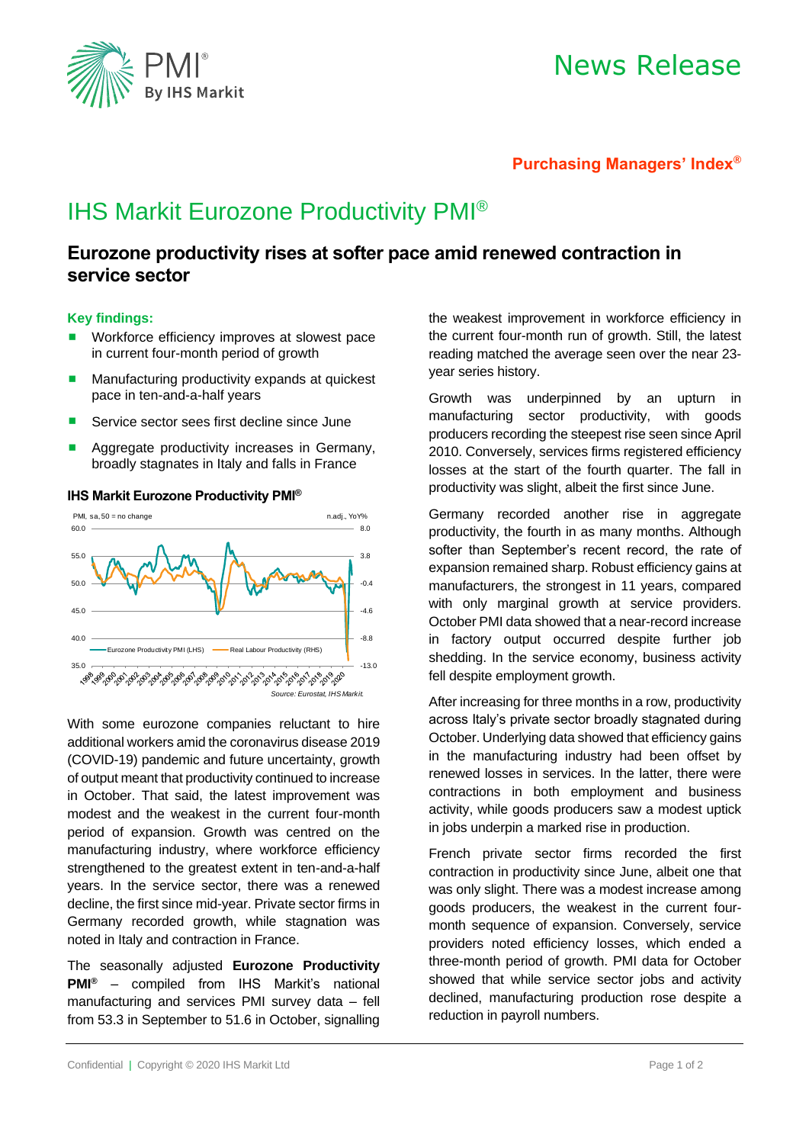

# News Release

## **Purchasing Managers' Index®**

# IHS Markit Eurozone Productivity PMI®

## **Eurozone productivity rises at softer pace amid renewed contraction in service sector**

### **Key findings:**

- Workforce efficiency improves at slowest pace in current four-month period of growth
- Manufacturing productivity expands at quickest pace in ten-and-a-half years
- Service sector sees first decline since June
- Aggregate productivity increases in Germany, broadly stagnates in Italy and falls in France



### **IHS Markit Eurozone Productivity PMI®**

With some eurozone companies reluctant to hire additional workers amid the coronavirus disease 2019 (COVID-19) pandemic and future uncertainty, growth of output meant that productivity continued to increase in October. That said, the latest improvement was modest and the weakest in the current four-month period of expansion. Growth was centred on the manufacturing industry, where workforce efficiency strengthened to the greatest extent in ten-and-a-half years. In the service sector, there was a renewed decline, the first since mid-year. Private sector firms in Germany recorded growth, while stagnation was noted in Italy and contraction in France.

The seasonally adjusted **Eurozone Productivity PMI®** – compiled from IHS Markit's national manufacturing and services PMI survey data – fell from 53.3 in September to 51.6 in October, signalling

the weakest improvement in workforce efficiency in the current four-month run of growth. Still, the latest reading matched the average seen over the near 23 year series history.

Growth was underpinned by an upturn in manufacturing sector productivity, with goods producers recording the steepest rise seen since April 2010. Conversely, services firms registered efficiency losses at the start of the fourth quarter. The fall in productivity was slight, albeit the first since June.

Germany recorded another rise in aggregate productivity, the fourth in as many months. Although softer than September's recent record, the rate of expansion remained sharp. Robust efficiency gains at manufacturers, the strongest in 11 years, compared with only marginal growth at service providers. October PMI data showed that a near-record increase in factory output occurred despite further job shedding. In the service economy, business activity fell despite employment growth.

After increasing for three months in a row, productivity across Italy's private sector broadly stagnated during October. Underlying data showed that efficiency gains in the manufacturing industry had been offset by renewed losses in services. In the latter, there were contractions in both employment and business activity, while goods producers saw a modest uptick in jobs underpin a marked rise in production.

French private sector firms recorded the first contraction in productivity since June, albeit one that was only slight. There was a modest increase among goods producers, the weakest in the current fourmonth sequence of expansion. Conversely, service providers noted efficiency losses, which ended a three-month period of growth. PMI data for October showed that while service sector jobs and activity declined, manufacturing production rose despite a reduction in payroll numbers.